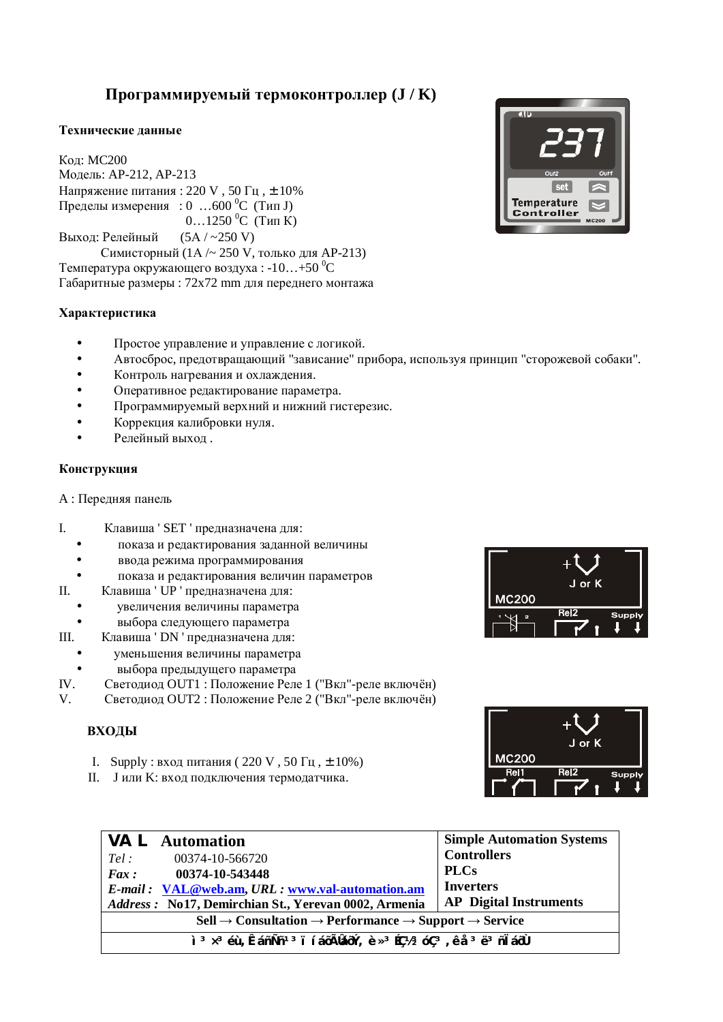# Программируемый термоконтроллер (**J** / K)

### Технические ланные

**Кол: MC200** Модель: АР-212, АР-213 Напряжение питания: 220 V, 50  $\Gamma$ ц,  $\pm$  10% Пределы измерения : 0 …600 °С (Тип J)  $0...1250$ <sup>o</sup>C (T<sub>MT</sub>K) Выход: Релейный  $(5A / -250 V)$ Симисторный (1А/ $\sim$  250 V, только для АР-213) Температура окружающего воздуха:  $-10...+50$  °C Габаритные размеры : 72x72 mm для переднего монтажа

## **ɏɚɪɚɤɬɟɪɢɫɬɢɤɚ**

- Простое управление и управление с логикой.
- Автосброс, предотвращающий "зависание" прибора, используя принцип "сторожевой собаки".
- Контроль нагревания и охлаждения.
- Оперативное редактирование параметра.
- Программируемый верхний и нижний гистерезис.
- Коррекция калибровки нуля.
- Релейный выход.

### Конструкция

А : Передняя панель

- I. Клавиша ' SET ' предназначена для:
	- показа и редактирования заданной величины
	- ввода режима программирования
	- показа и редактирования величин параметров
- II. Клавиша ' UP ' предназначена для:
	- увеличения величины параметра
	- выбора следующего параметра
- III. Клавиша ' DN ' предназначена для:
- уменьшения величины параметра
- **выбора предыдущего параметра**<br> **IV.** Светолиол ОUT1: Положение Рел
- Светодиод OUT1 : Положение Реле 1 ("Вкл"-реле включён)
- V. Светодиод OUT2 : Положение Реле 2 ("Вкл"-реле включён)

# **ВХОДЫ**

- I. Supply : вход питания (220 V, 50  $\Gamma$ ц,  $\pm$  10%)
- II. Јили К: вход подключения термодатчика.

| <b>VAL</b> Automation                                                                                                                                         | <b>Simple Automation Systems</b> |  |
|---------------------------------------------------------------------------------------------------------------------------------------------------------------|----------------------------------|--|
| Tel:<br>00374-10-566720                                                                                                                                       | <b>Controllers</b>               |  |
| Fax:<br>00374-10-543448                                                                                                                                       | <b>PLCs</b>                      |  |
| E-mail: VAL@web.am, URL: www.val-automation.am                                                                                                                | <b>Inverters</b>                 |  |
| Address: No17, Demirchian St., Yerevan 0002, Armenia                                                                                                          | <b>AP</b> Digital Instruments    |  |
| $\text{Cell} \rightarrow \text{Consultation} \rightarrow \text{Performance} \rightarrow \text{Support} \rightarrow \text{Service}$                            |                                  |  |
| ì <sup>3</sup> x <sup>3</sup> éù, ÊáñÑñ <sup>13</sup> ï í áōÃláōÝ, è x <sup>3</sup> Éǽ <sup>3</sup> óÇ <sup>3</sup> , ê å <sup>3</sup> ë <sup>3</sup> ñ l áōÙ |                                  |  |





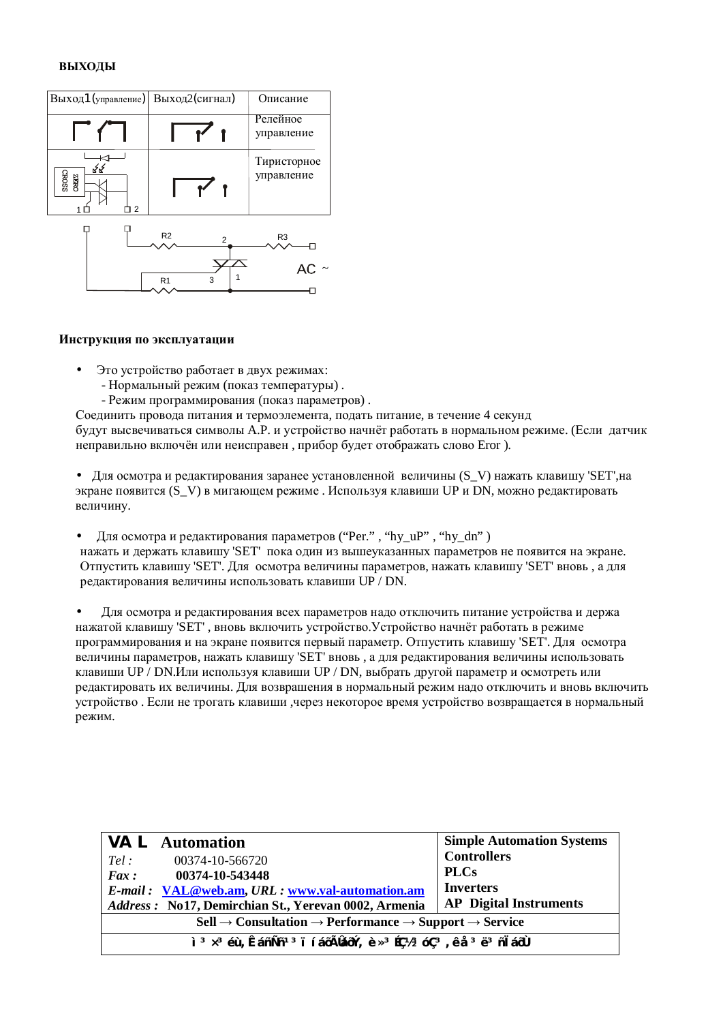#### **ВЫХОДЫ**



#### **Инструкция по эксплуатации**

- Это устройство работает в двух режимах:
	- Нормальный режим (показ температуры).
	- Режим программирования (показ параметров).

Соединить провода питания и термоэлемента, подать питание, в течение 4 секунд будут высвечиваться символы А.Р. и устройство начнёт работать в нормальном режиме. (Если датчик неправильно включён или неисправен, прибор будет отображать слово Eror ).

• Для осмотра и редактирования заранее установленной величины (S\_V) нажать клавишу 'SET', на экране появится (S V) в мигающем режиме. Используя клавиши UP и DN, можно редактировать величину.

• Для осмотра и редактирования параметров ("Per.", "hy\_uP", "hy\_dn") нажать и держать клавишу 'SET' пока один из вышеуказанных параметров не появится на экране. Отпустить клавишу 'SET'. Для осмотра величины параметров, нажать клавишу 'SET' вновь, а для  $\overline{1}$ релактирования величины использовать клавиши UP / DN.

• Для осмотра и редактирования всех параметров надо отключить питание устройства и держа нажатой клавишу 'SET', вновь включить устройство. Устройство начнёт работать в режиме программирования и на экране появится первый параметр. Отпустить клавишу 'SET'. Для осмотра величины параметров, нажать клавишу 'SET' вновь, а для редактирования величины использовать клавиши UP / DN.Или используя клавиши UP / DN, выбрать другой параметр и осмотреть или релактировать их величины. Для возврашения в нормальный режим нало отключить и вновь включить устройство. Если не трогать клавиши ,через некоторое время устройство возвращается в нормальный режим.

| <b>VAL</b> Automation                                                                                                                                         | <b>Simple Automation Systems</b> |  |
|---------------------------------------------------------------------------------------------------------------------------------------------------------------|----------------------------------|--|
| 00374-10-566720<br>Tel:                                                                                                                                       | <b>Controllers</b>               |  |
| $Fax: 00374-10-543448$                                                                                                                                        | <b>PLCs</b>                      |  |
| <i>E-mail:</i> VAL@web.am, URL: www.val-automation.am                                                                                                         | <b>Inverters</b>                 |  |
| Address: No17, Demirchian St., Yerevan 0002, Armenia                                                                                                          | <b>AP</b> Digital Instruments    |  |
| $\text{Cell} \rightarrow \text{Consultation} \rightarrow \text{Performance} \rightarrow \text{Support} \rightarrow \text{Service}$                            |                                  |  |
| ì <sup>3</sup> x <sup>3</sup> éù, ÊáñÑñ <sup>13</sup> ï í áōÃláōÝ, è x <sup>3</sup> Éǽ <sup>3</sup> óÇ <sup>3</sup> , ê å <sup>3</sup> ë <sup>3</sup> ñ l áōÙ |                                  |  |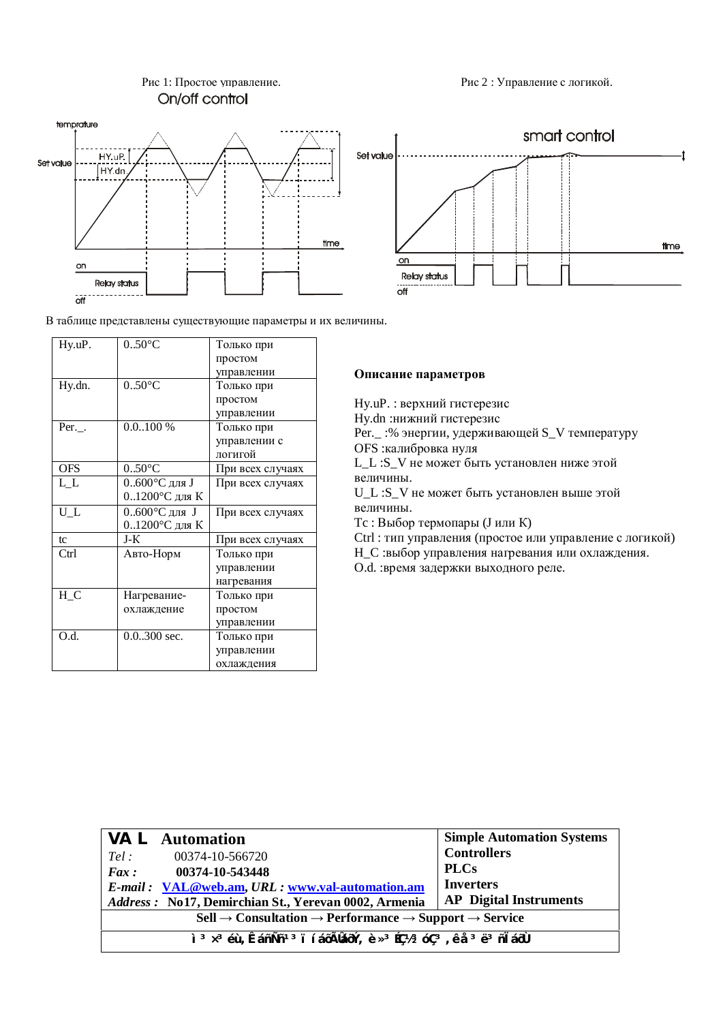

В таблице представлены существующие параметры и их величины.

| Hy.uP.     | $0.50$ °C               | Только при       |
|------------|-------------------------|------------------|
|            |                         | простом          |
|            |                         | управлении       |
| Hy.dn.     | $0.50^{\circ}$ C        | Только при       |
|            |                         | простом          |
|            |                         | управлении       |
| $Per.$ .   | $0.0100 \%$             | Только при       |
|            |                         | управлении с     |
|            |                         | логигой          |
| <b>OFS</b> | $0.50$ °C               | При всех случаях |
| L L        | $0.600^{\circ}$ С для J | При всех случаях |
|            | 01200°С для К           |                  |
| $U_L$      | $0.600^{\circ}$ С для J | При всех случаях |
|            | 01200°С для К           |                  |
| tc         | J-K                     | При всех случаях |
| Ctrl       | Авто-Норм               | Только при       |
|            |                         | управлении       |
|            |                         | нагревания       |
| $H_C$      | Нагревание-             | Только при       |
|            | охлаждение              | простом          |
|            |                         | управлении       |
| O.d.       | $0.0.300$ sec.          | Только при       |
|            |                         | управлении       |
|            |                         | охлаждения       |

Рис 1: Простое управление. Спортает на приема Рис 2 : Управление с логикой.



Описание параметров

Hy.uP. : верхний гистерезис Hy.dn :нижний гистерезис Рег.\_ :% энергии, удерживающей S\_V температуру OFS :калибровка нуля L L :S V не может быть установлен ниже этой величины. U\_L :S\_V не может быть установлен выше этой величины. Tc : Выбор термопары (J или K) Ctrl : тип управления (простое или управление с логикой) Н\_С :выбор управления нагревания или охлаждения. О. . : время задержки выходного реле.

|                                                                                                                                                               | <b>VAL</b> Automation                                  | <b>Simple Automation Systems</b> |
|---------------------------------------------------------------------------------------------------------------------------------------------------------------|--------------------------------------------------------|----------------------------------|
| Tel:                                                                                                                                                          | 00374-10-566720                                        | <b>Controllers</b>               |
| Fax:                                                                                                                                                          | 00374-10-543448                                        | <b>PLCs</b>                      |
|                                                                                                                                                               | <i>E-mail</i> : VAL@web.am, URL: www.val-automation.am | <b>Inverters</b>                 |
|                                                                                                                                                               | Address: No17, Demirchian St., Yerevan 0002, Armenia   | <b>AP</b> Digital Instruments    |
| $\text{Cell} \rightarrow \text{Consultation} \rightarrow \text{Performance} \rightarrow \text{Support} \rightarrow \text{Service}$                            |                                                        |                                  |
| ì <sup>3</sup> x <sup>3</sup> éù, ÊáñÑñ <sup>13</sup> ï í áōÃláōÝ, è x <sup>3</sup> Éǽ <sup>3</sup> óÇ <sup>3</sup> , ê å <sup>3</sup> ë <sup>3</sup> ñ l áōÙ |                                                        |                                  |